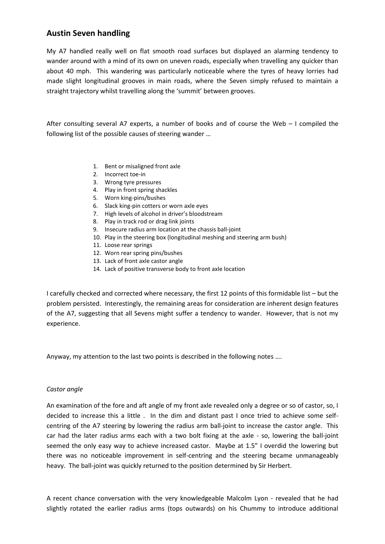## **Austin Seven handling**

My A7 handled really well on flat smooth road surfaces but displayed an alarming tendency to wander around with a mind of its own on uneven roads, especially when travelling any quicker than about 40 mph. This wandering was particularly noticeable where the tyres of heavy lorries had made slight longitudinal grooves in main roads, where the Seven simply refused to maintain a straight trajectory whilst travelling along the 'summit' between grooves.

After consulting several A7 experts, a number of books and of course the Web – I compiled the following list of the possible causes of steering wander …

- 1. Bent or misaligned front axle
- 2. Incorrect toe-in
- 3. Wrong tyre pressures
- 4. Play in front spring shackles
- 5. Worn king-pins/bushes
- 6. Slack king-pin cotters or worn axle eyes
- 7. High levels of alcohol in driver's bloodstream
- 8. Play in track rod or drag link joints
- 9. Insecure radius arm location at the chassis ball-joint
- 10. Play in the steering box (longitudinal meshing and steering arm bush)
- 11. Loose rear springs
- 12. Worn rear spring pins/bushes
- 13. Lack of front axle castor angle
- 14. Lack of positive transverse body to front axle location

I carefully checked and corrected where necessary, the first 12 points of this formidable list – but the problem persisted. Interestingly, the remaining areas for consideration are inherent design features of the A7, suggesting that all Sevens might suffer a tendency to wander. However, that is not my experience.

Anyway, my attention to the last two points is described in the following notes ….

## *Castor angle*

An examination of the fore and aft angle of my front axle revealed only a degree or so of castor, so, I decided to increase this a little . In the dim and distant past I once tried to achieve some selfcentring of the A7 steering by lowering the radius arm ball-joint to increase the castor angle. This car had the later radius arms each with a two bolt fixing at the axle - so, lowering the ball-joint seemed the only easy way to achieve increased castor. Maybe at 1.5" I overdid the lowering but there was no noticeable improvement in self-centring and the steering became unmanageably heavy. The ball-joint was quickly returned to the position determined by Sir Herbert.

A recent chance conversation with the very knowledgeable Malcolm Lyon - revealed that he had slightly rotated the earlier radius arms (tops outwards) on his Chummy to introduce additional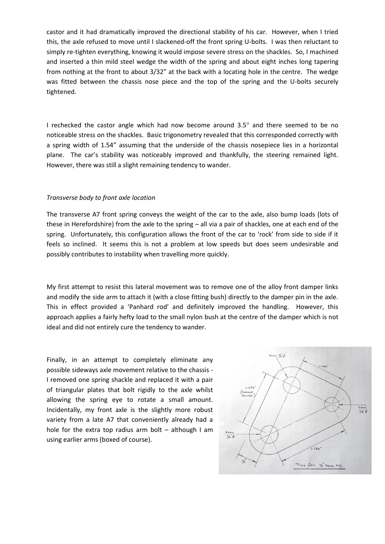castor and it had dramatically improved the directional stability of his car. However, when I tried this, the axle refused to move until I slackened-off the front spring U-bolts. I was then reluctant to simply re-tighten everything, knowing it would impose severe stress on the shackles. So, I machined and inserted a thin mild steel wedge the width of the spring and about eight inches long tapering from nothing at the front to about 3/32" at the back with a locating hole in the centre. The wedge was fitted between the chassis nose piece and the top of the spring and the U-bolts securely tightened.

I rechecked the castor angle which had now become around  $3.5^\circ$  and there seemed to be no noticeable stress on the shackles. Basic trigonometry revealed that this corresponded correctly with a spring width of 1.54" assuming that the underside of the chassis nosepiece lies in a horizontal plane. The car's stability was noticeably improved and thankfully, the steering remained light. However, there was still a slight remaining tendency to wander.

## *Transverse body to front axle location*

The transverse A7 front spring conveys the weight of the car to the axle, also bump loads (lots of these in Herefordshire) from the axle to the spring – all via a pair of shackles, one at each end of the spring. Unfortunately, this configuration allows the front of the car to 'rock' from side to side if it feels so inclined. It seems this is not a problem at low speeds but does seem undesirable and possibly contributes to instability when travelling more quickly.

My first attempt to resist this lateral movement was to remove one of the alloy front damper links and modify the side arm to attach it (with a close fitting bush) directly to the damper pin in the axle. This in effect provided a 'Panhard rod' and definitely improved the handling. However, this approach applies a fairly hefty load to the small nylon bush at the centre of the damper which is not ideal and did not entirely cure the tendency to wander.

Finally, in an attempt to completely eliminate any possible sideways axle movement relative to the chassis - I removed one spring shackle and replaced it with a pair of triangular plates that bolt rigidly to the axle whilst allowing the spring eye to rotate a small amount. Incidentally, my front axle is the slightly more robust variety from a late A7 that conveniently already had a hole for the extra top radius arm bolt  $-$  although I am using earlier arms (boxed of course).